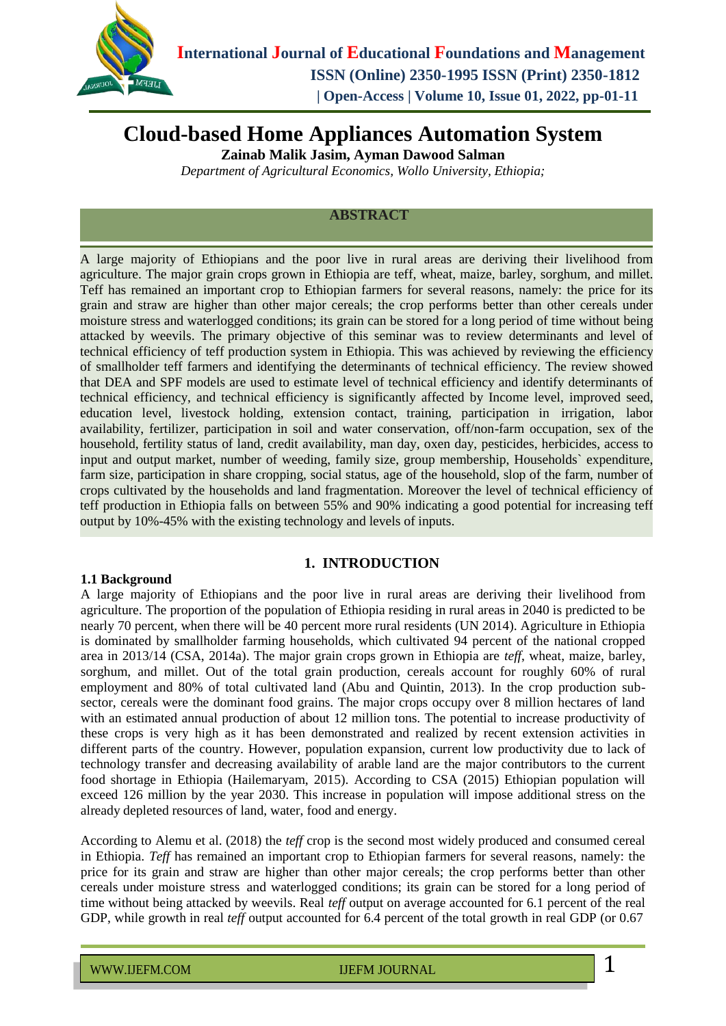

# **Cloud-based Home Appliances Automation System**

**Zainab Malik Jasim, Ayman Dawood Salman**

*Department of Agricultural Economics, Wollo University, Ethiopia;*

### **ABSTRACT**

A large majority of Ethiopians and the poor live in rural areas are deriving their livelihood from agriculture. The major grain crops grown in Ethiopia are teff, wheat, maize, barley, sorghum, and millet. Teff has remained an important crop to Ethiopian farmers for several reasons, namely: the price for its grain and straw are higher than other major cereals; the crop performs better than other cereals under moisture stress and waterlogged conditions; its grain can be stored for a long period of time without being attacked by weevils. The primary objective of this seminar was to review determinants and level of technical efficiency of teff production system in Ethiopia. This was achieved by reviewing the efficiency of smallholder teff farmers and identifying the determinants of technical efficiency. The review showed that DEA and SPF models are used to estimate level of technical efficiency and identify determinants of technical efficiency, and technical efficiency is significantly affected by Income level, improved seed, education level, livestock holding, extension contact, training, participation in irrigation, labor availability, fertilizer, participation in soil and water conservation, off/non-farm occupation, sex of the household, fertility status of land, credit availability, man day, oxen day, pesticides, herbicides, access to input and output market, number of weeding, family size, group membership, Households` expenditure, farm size, participation in share cropping, social status, age of the household, slop of the farm, number of crops cultivated by the households and land fragmentation. Moreover the level of technical efficiency of teff production in Ethiopia falls on between 55% and 90% indicating a good potential for increasing teff output by 10%-45% with the existing technology and levels of inputs.

#### **1.1 Background**

### **1. INTRODUCTION**

A large majority of Ethiopians and the poor live in rural areas are deriving their livelihood from agriculture. The proportion of the population of Ethiopia residing in rural areas in 2040 is predicted to be nearly 70 percent, when there will be 40 percent more rural residents (UN 2014). Agriculture in Ethiopia is dominated by smallholder farming households, which cultivated 94 percent of the national cropped area in 2013/14 (CSA, 2014a). The major grain crops grown in Ethiopia are *teff*, wheat, maize, barley, sorghum, and millet. Out of the total grain production, cereals account for roughly 60% of rural employment and 80% of total cultivated land (Abu and Quintin, 2013). In the crop production subsector, cereals were the dominant food grains. The major crops occupy over 8 million hectares of land with an estimated annual production of about 12 million tons. The potential to increase productivity of these crops is very high as it has been demonstrated and realized by recent extension activities in different parts of the country. However, population expansion, current low productivity due to lack of technology transfer and decreasing availability of arable land are the major contributors to the current food shortage in Ethiopia (Hailemaryam, 2015). According to CSA (2015) Ethiopian population will exceed 126 million by the year 2030. This increase in population will impose additional stress on the already depleted resources of land, water, food and energy.

According to Alemu et al. (2018) the *teff* crop is the second most widely produced and consumed cereal in Ethiopia. *Teff* has remained an important crop to Ethiopian farmers for several reasons, namely: the price for its grain and straw are higher than other major cereals; the crop performs better than other cereals under moisture stress and waterlogged conditions; its grain can be stored for a long period of time without being attacked by weevils. Real *teff* output on average accounted for 6.1 percent of the real GDP, while growth in real *teff* output accounted for 6.4 percent of the total growth in real GDP (or 0.67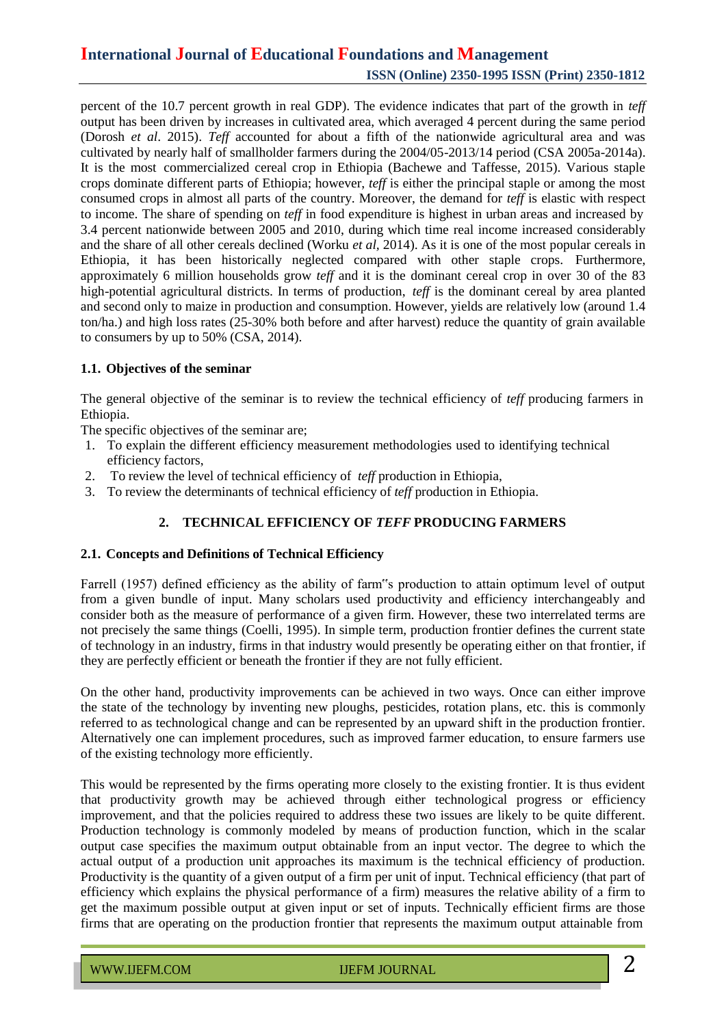percent of the 10.7 percent growth in real GDP). The evidence indicates that part of the growth in *teff* output has been driven by increases in cultivated area, which averaged 4 percent during the same period (Dorosh *et al*. 2015). *Teff* accounted for about a fifth of the nationwide agricultural area and was cultivated by nearly half of smallholder farmers during the 2004/05-2013/14 period (CSA 2005a-2014a). It is the most commercialized cereal crop in Ethiopia (Bachewe and Taffesse, 2015). Various staple crops dominate different parts of Ethiopia; however, *teff* is either the principal staple or among the most consumed crops in almost all parts of the country. Moreover, the demand for *teff* is elastic with respect to income. The share of spending on *teff* in food expenditure is highest in urban areas and increased by 3.4 percent nationwide between 2005 and 2010, during which time real income increased considerably and the share of all other cereals declined (Worku *et al,* 2014). As it is one of the most popular cereals in Ethiopia, it has been historically neglected compared with other staple crops. Furthermore, approximately 6 million households grow *teff* and it is the dominant cereal crop in over 30 of the 83 high-potential agricultural districts. In terms of production, *teff* is the dominant cereal by area planted and second only to maize in production and consumption. However, yields are relatively low (around 1.4 ton/ha.) and high loss rates (25-30% both before and after harvest) reduce the quantity of grain available to consumers by up to 50% (CSA, 2014).

#### **1.1. Objectives of the seminar**

The general objective of the seminar is to review the technical efficiency of *teff* producing farmers in Ethiopia.

The specific objectives of the seminar are;

- 1. To explain the different efficiency measurement methodologies used to identifying technical efficiency factors,
- 2. To review the level of technical efficiency of *teff* production in Ethiopia,
- 3. To review the determinants of technical efficiency of *teff* production in Ethiopia.

### **2. TECHNICAL EFFICIENCY OF** *TEFF* **PRODUCING FARMERS**

#### **2.1. Concepts and Definitions of Technical Efficiency**

Farrell (1957) defined efficiency as the ability of farm"s production to attain optimum level of output from a given bundle of input. Many scholars used productivity and efficiency interchangeably and consider both as the measure of performance of a given firm. However, these two interrelated terms are not precisely the same things (Coelli, 1995). In simple term, production frontier defines the current state of technology in an industry, firms in that industry would presently be operating either on that frontier, if they are perfectly efficient or beneath the frontier if they are not fully efficient.

On the other hand, productivity improvements can be achieved in two ways. Once can either improve the state of the technology by inventing new ploughs, pesticides, rotation plans, etc. this is commonly referred to as technological change and can be represented by an upward shift in the production frontier. Alternatively one can implement procedures, such as improved farmer education, to ensure farmers use of the existing technology more efficiently.

This would be represented by the firms operating more closely to the existing frontier. It is thus evident that productivity growth may be achieved through either technological progress or efficiency improvement, and that the policies required to address these two issues are likely to be quite different. Production technology is commonly modeled by means of production function, which in the scalar output case specifies the maximum output obtainable from an input vector. The degree to which the actual output of a production unit approaches its maximum is the technical efficiency of production. Productivity is the quantity of a given output of a firm per unit of input. Technical efficiency (that part of efficiency which explains the physical performance of a firm) measures the relative ability of a firm to get the maximum possible output at given input or set of inputs. Technically efficient firms are those firms that are operating on the production frontier that represents the maximum output attainable from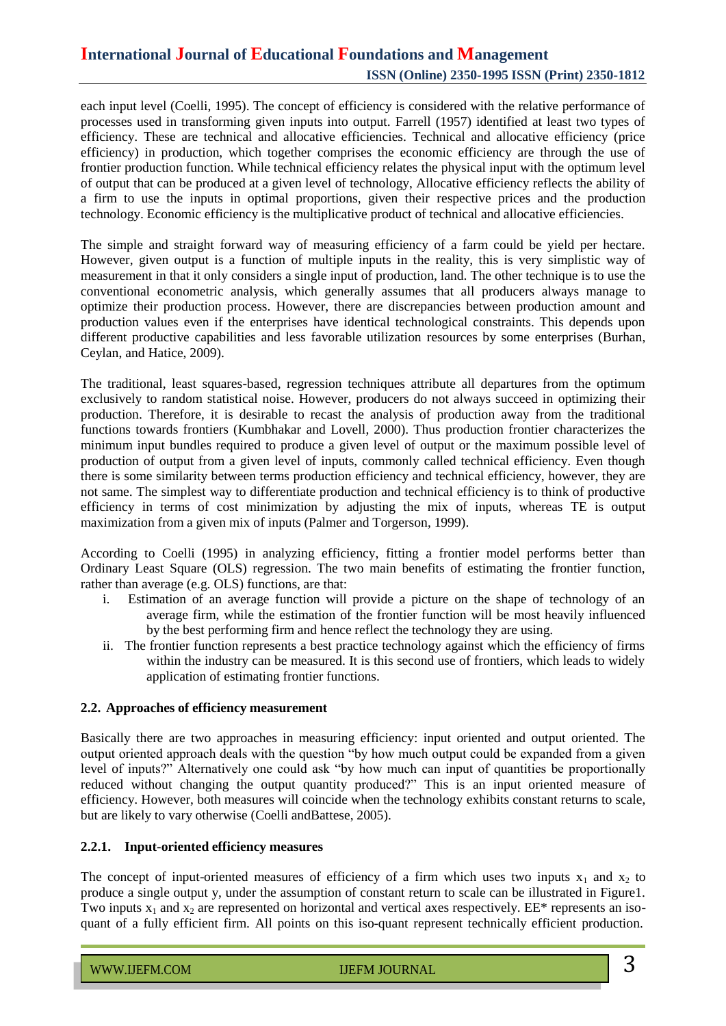each input level (Coelli, 1995). The concept of efficiency is considered with the relative performance of processes used in transforming given inputs into output. Farrell (1957) identified at least two types of efficiency. These are technical and allocative efficiencies. Technical and allocative efficiency (price efficiency) in production, which together comprises the economic efficiency are through the use of frontier production function. While technical efficiency relates the physical input with the optimum level of output that can be produced at a given level of technology, Allocative efficiency reflects the ability of a firm to use the inputs in optimal proportions, given their respective prices and the production technology. Economic efficiency is the multiplicative product of technical and allocative efficiencies.

The simple and straight forward way of measuring efficiency of a farm could be yield per hectare. However, given output is a function of multiple inputs in the reality, this is very simplistic way of measurement in that it only considers a single input of production, land. The other technique is to use the conventional econometric analysis, which generally assumes that all producers always manage to optimize their production process. However, there are discrepancies between production amount and production values even if the enterprises have identical technological constraints. This depends upon different productive capabilities and less favorable utilization resources by some enterprises (Burhan, Ceylan, and Hatice, 2009).

The traditional, least squares-based, regression techniques attribute all departures from the optimum exclusively to random statistical noise. However, producers do not always succeed in optimizing their production. Therefore, it is desirable to recast the analysis of production away from the traditional functions towards frontiers (Kumbhakar and Lovell, 2000). Thus production frontier characterizes the minimum input bundles required to produce a given level of output or the maximum possible level of production of output from a given level of inputs, commonly called technical efficiency. Even though there is some similarity between terms production efficiency and technical efficiency, however, they are not same. The simplest way to differentiate production and technical efficiency is to think of productive efficiency in terms of cost minimization by adjusting the mix of inputs*,* whereas TE is output maximization from a given mix of inputs (Palmer and Torgerson, 1999).

According to Coelli (1995) in analyzing efficiency, fitting a frontier model performs better than Ordinary Least Square (OLS) regression. The two main benefits of estimating the frontier function, rather than average (e.g. OLS) functions, are that:

- i. Estimation of an average function will provide a picture on the shape of technology of an average firm, while the estimation of the frontier function will be most heavily influenced by the best performing firm and hence reflect the technology they are using.
- ii. The frontier function represents a best practice technology against which the efficiency of firms within the industry can be measured. It is this second use of frontiers, which leads to widely application of estimating frontier functions.

#### **2.2. Approaches of efficiency measurement**

Basically there are two approaches in measuring efficiency: input oriented and output oriented. The output oriented approach deals with the question "by how much output could be expanded from a given level of inputs?" Alternatively one could ask "by how much can input of quantities be proportionally reduced without changing the output quantity produced?" This is an input oriented measure of efficiency. However, both measures will coincide when the technology exhibits constant returns to scale, but are likely to vary otherwise (Coelli andBattese, 2005).

#### **2.2.1. Input-oriented efficiency measures**

The concept of input-oriented measures of efficiency of a firm which uses two inputs  $x_1$  and  $x_2$  to produce a single output y, under the assumption of constant return to scale can be illustrated in Figure1. Two inputs  $x_1$  and  $x_2$  are represented on horizontal and vertical axes respectively. EE\* represents an isoquant of a fully efficient firm. All points on this iso-quant represent technically efficient production.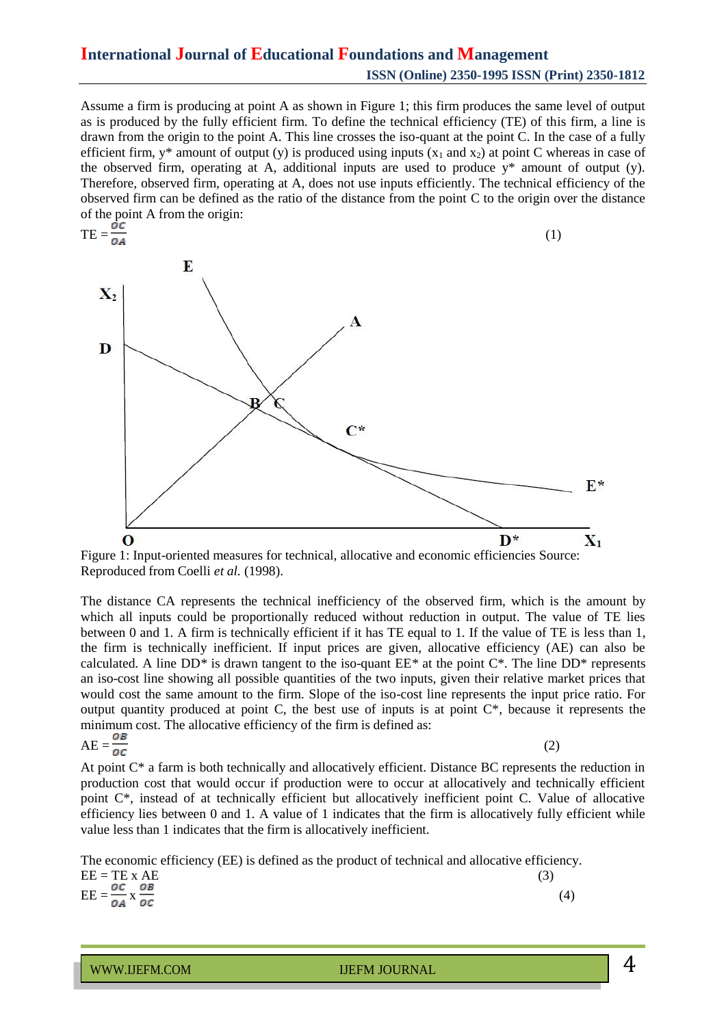Assume a firm is producing at point A as shown in Figure 1; this firm produces the same level of output as is produced by the fully efficient firm. To define the technical efficiency (TE) of this firm, a line is drawn from the origin to the point A. This line crosses the iso-quant at the point C. In the case of a fully efficient firm,  $y^*$  amount of output (y) is produced using inputs (x<sub>1</sub> and x<sub>2</sub>) at point C whereas in case of the observed firm, operating at A, additional inputs are used to produce  $y^*$  amount of output (y). Therefore, observed firm, operating at A, does not use inputs efficiently. The technical efficiency of the observed firm can be defined as the ratio of the distance from the point C to the origin over the distance of the point A from the origin:



Figure 1: Input-oriented measures for technical, allocative and economic efficiencies Source: Reproduced from Coelli *et al.* (1998).

The distance CA represents the technical inefficiency of the observed firm, which is the amount by which all inputs could be proportionally reduced without reduction in output. The value of TE lies between 0 and 1. A firm is technically efficient if it has TE equal to 1. If the value of TE is less than 1, the firm is technically inefficient. If input prices are given, allocative efficiency (AE) can also be calculated. A line DD*\** is drawn tangent to the iso-quant EE*\** at the point C\*. The line DD\* represents an iso-cost line showing all possible quantities of the two inputs, given their relative market prices that would cost the same amount to the firm. Slope of the iso-cost line represents the input price ratio. For output quantity produced at point C, the best use of inputs is at point C\**,* because it represents the minimum cost. The allocative efficiency of the firm is defined as:

$$
AE = \frac{OB}{OC}
$$
 (2)

At point C\* a farm is both technically and allocatively efficient. Distance BC represents the reduction in production cost that would occur if production were to occur at allocatively and technically efficient point C\*, instead of at technically efficient but allocatively inefficient point C. Value of allocative efficiency lies between 0 and 1. A value of 1 indicates that the firm is allocatively fully efficient while value less than 1 indicates that the firm is allocatively inefficient.

The economic efficiency (EE) is defined as the product of technical and allocative efficiency.

| $EE = TE \times AE$                                  | (3) |
|------------------------------------------------------|-----|
| $\overline{EE} = \frac{OC}{OA} \times \frac{OB}{OC}$ |     |

WWW.IJEFM.COM IJEFM JOURNAL 4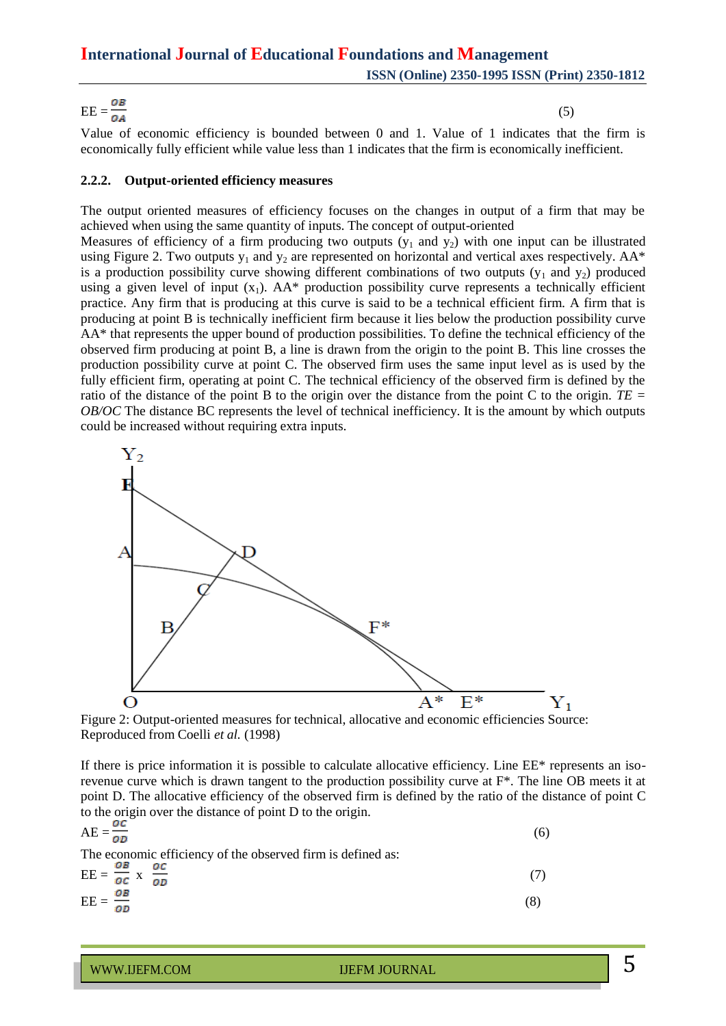# $\text{EE} = \frac{1}{24}$  (5)

Value of economic efficiency is bounded between 0 and 1. Value of 1 indicates that the firm is economically fully efficient while value less than 1 indicates that the firm is economically inefficient.

#### **2.2.2. Output-oriented efficiency measures**

The output oriented measures of efficiency focuses on the changes in output of a firm that may be achieved when using the same quantity of inputs. The concept of output-oriented

Measures of efficiency of a firm producing two outputs  $(y_1$  and  $y_2)$  with one input can be illustrated using Figure 2. Two outputs  $y_1$  and  $y_2$  are represented on horizontal and vertical axes respectively. AA\* is a production possibility curve showing different combinations of two outputs  $(y_1$  and  $y_2)$  produced using a given level of input  $(x_1)$ . AA\* production possibility curve represents a technically efficient practice. Any firm that is producing at this curve is said to be a technical efficient firm. A firm that is producing at point B is technically inefficient firm because it lies below the production possibility curve AA\* that represents the upper bound of production possibilities. To define the technical efficiency of the observed firm producing at point B, a line is drawn from the origin to the point B. This line crosses the production possibility curve at point C. The observed firm uses the same input level as is used by the fully efficient firm, operating at point C. The technical efficiency of the observed firm is defined by the ratio of the distance of the point B to the origin over the distance from the point C to the origin. *TE = OB/OC* The distance BC represents the level of technical inefficiency. It is the amount by which outputs could be increased without requiring extra inputs.



Figure 2: Output-oriented measures for technical, allocative and economic efficiencies Source: Reproduced from Coelli *et al.* (1998)

If there is price information it is possible to calculate allocative efficiency. Line EE\* represents an isorevenue curve which is drawn tangent to the production possibility curve at  $F^*$ . The line OB meets it at point D. The allocative efficiency of the observed firm is defined by the ratio of the distance of point C to the origin over the distance of point D to the origin.

$$
AE = \frac{\partial E}{\partial D}
$$
  
The economic efficiency of the observed firm is defined as:  
EE =  $\frac{\partial B}{\partial C}$  x  $\frac{\partial C}{\partial D}$  (7)  
EF =  $\frac{\partial B}{\partial D}$  (8)

$$
EE = \frac{\partial B}{\partial D} \tag{8}
$$

# WWW.IJEFM.COM IJEFM JOURNAL 5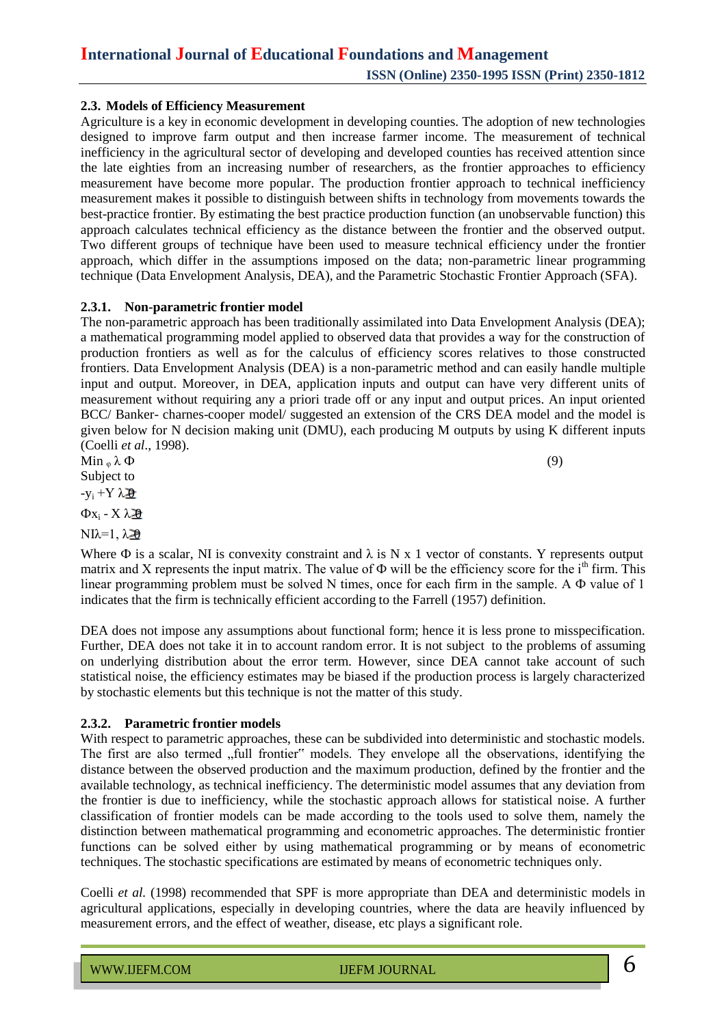#### **2.3. Models of Efficiency Measurement**

Agriculture is a key in economic development in developing counties. The adoption of new technologies designed to improve farm output and then increase farmer income. The measurement of technical inefficiency in the agricultural sector of developing and developed counties has received attention since the late eighties from an increasing number of researchers, as the frontier approaches to efficiency measurement have become more popular. The production frontier approach to technical inefficiency measurement makes it possible to distinguish between shifts in technology from movements towards the best-practice frontier. By estimating the best practice production function (an unobservable function) this approach calculates technical efficiency as the distance between the frontier and the observed output. Two different groups of technique have been used to measure technical efficiency under the frontier approach, which differ in the assumptions imposed on the data; non-parametric linear programming technique (Data Envelopment Analysis, DEA), and the Parametric Stochastic Frontier Approach (SFA).

#### **2.3.1. Non-parametric frontier model**

The non-parametric approach has been traditionally assimilated into Data Envelopment Analysis (DEA); a mathematical programming model applied to observed data that provides a way for the construction of production frontiers as well as for the calculus of efficiency scores relatives to those constructed frontiers. Data Envelopment Analysis (DEA) is a non-parametric method and can easily handle multiple input and output. Moreover, in DEA, application inputs and output can have very different units of measurement without requiring any a priori trade off or any input and output prices. An input oriented BCC/ Banker- charnes-cooper model/ suggested an extension of the CRS DEA model and the model is given below for N decision making unit (DMU), each producing M outputs by using K different inputs (Coelli *et al*., 1998).

 $\text{Min }_{\varphi} \lambda \Phi$  (9) Subject to  $-y_i + Y \lambda \Delta$ 

 $Φx_i - Xλ$  $\partial$ 

NIλ=1,  $λ\overline{20}$ 

Where  $\Phi$  is a scalar, NI is convexity constraint and  $\lambda$  is N x 1 vector of constants. Y represents output matrix and X represents the input matrix. The value of  $\Phi$  will be the efficiency score for the i<sup>th</sup> firm. This linear programming problem must be solved N times, once for each firm in the sample. A Ф value of 1 indicates that the firm is technically efficient according to the Farrell (1957) definition.

DEA does not impose any assumptions about functional form; hence it is less prone to misspecification. Further, DEA does not take it in to account random error. It is not subject to the problems of assuming on underlying distribution about the error term. However, since DEA cannot take account of such statistical noise, the efficiency estimates may be biased if the production process is largely characterized by stochastic elements but this technique is not the matter of this study.

#### **2.3.2. Parametric frontier models**

With respect to parametric approaches, these can be subdivided into deterministic and stochastic models. The first are also termed "full frontier" models. They envelope all the observations, identifying the distance between the observed production and the maximum production, defined by the frontier and the available technology, as technical inefficiency. The deterministic model assumes that any deviation from the frontier is due to inefficiency, while the stochastic approach allows for statistical noise. A further classification of frontier models can be made according to the tools used to solve them, namely the distinction between mathematical programming and econometric approaches. The deterministic frontier functions can be solved either by using mathematical programming or by means of econometric techniques. The stochastic specifications are estimated by means of econometric techniques only.

Coelli *et al.* (1998) recommended that SPF is more appropriate than DEA and deterministic models in agricultural applications, especially in developing countries, where the data are heavily influenced by measurement errors, and the effect of weather, disease, etc plays a significant role.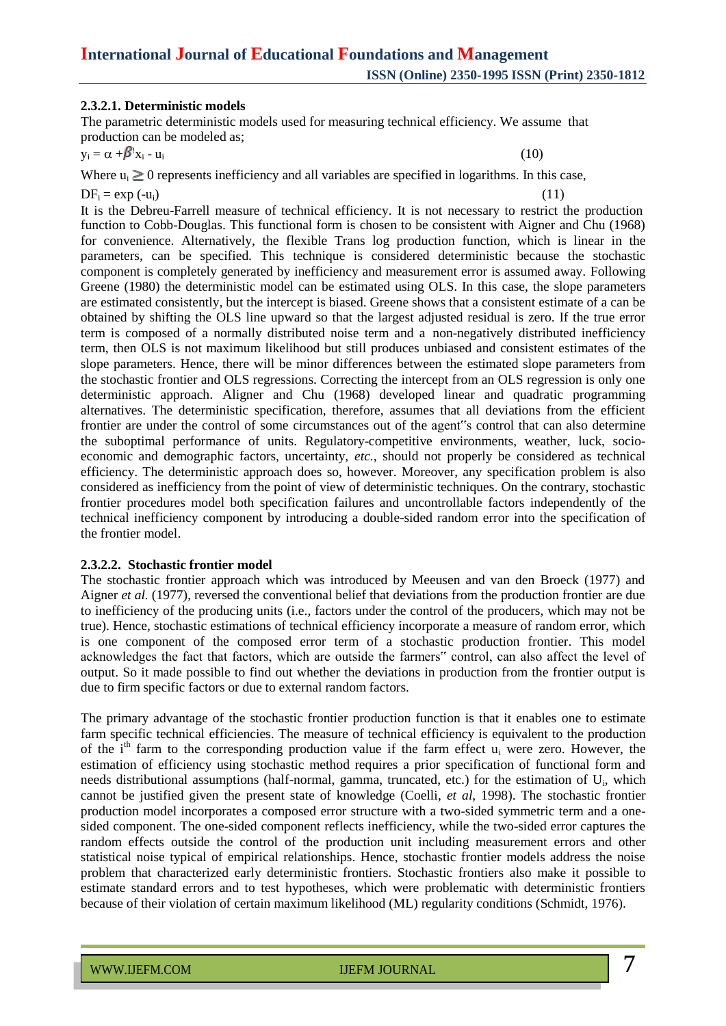#### **2.3.2.1. Deterministic models**

The parametric deterministic models used for measuring technical efficiency. We assume that production can be modeled as;

 $y_i = \alpha + \beta' x_i - u_i$  $x_i - u_i$  (10)

Where  $u_i \geq 0$  represents inefficiency and all variables are specified in logarithms. In this case,  $DF_i = \exp(-u_i)$  (11)

It is the Debreu-Farrell measure of technical efficiency. It is not necessary to restrict the production function to Cobb-Douglas. This functional form is chosen to be consistent with Aigner and Chu (1968) for convenience. Alternatively, the flexible Trans log production function, which is linear in the parameters, can be specified. This technique is considered deterministic because the stochastic component is completely generated by inefficiency and measurement error is assumed away. Following Greene (1980) the deterministic model can be estimated using OLS. In this case, the slope parameters are estimated consistently, but the intercept is biased. Greene shows that a consistent estimate of a can be obtained by shifting the OLS line upward so that the largest adjusted residual is zero. If the true error term is composed of a normally distributed noise term and a non-negatively distributed inefficiency term, then OLS is not maximum likelihood but still produces unbiased and consistent estimates of the slope parameters. Hence, there will be minor differences between the estimated slope parameters from the stochastic frontier and OLS regressions. Correcting the intercept from an OLS regression is only one deterministic approach. Aligner and Chu (1968) developed linear and quadratic programming alternatives. The deterministic specification, therefore, assumes that all deviations from the efficient frontier are under the control of some circumstances out of the agent"s control that can also determine the suboptimal performance of units. Regulatory-competitive environments, weather, luck, socioeconomic and demographic factors, uncertainty, *etc.,* should not properly be considered as technical efficiency. The deterministic approach does so, however. Moreover, any specification problem is also considered as inefficiency from the point of view of deterministic techniques. On the contrary, stochastic frontier procedures model both specification failures and uncontrollable factors independently of the technical inefficiency component by introducing a double-sided random error into the specification of the frontier model.

#### **2.3.2.2. Stochastic frontier model**

The stochastic frontier approach which was introduced by Meeusen and van den Broeck (1977) and Aigner *et al.* (1977), reversed the conventional belief that deviations from the production frontier are due to inefficiency of the producing units (i.e., factors under the control of the producers, which may not be true). Hence, stochastic estimations of technical efficiency incorporate a measure of random error, which is one component of the composed error term of a stochastic production frontier. This model acknowledges the fact that factors, which are outside the farmers" control, can also affect the level of output. So it made possible to find out whether the deviations in production from the frontier output is due to firm specific factors or due to external random factors.

The primary advantage of the stochastic frontier production function is that it enables one to estimate farm specific technical efficiencies. The measure of technical efficiency is equivalent to the production of the  $i<sup>th</sup>$  farm to the corresponding production value if the farm effect  $u_i$  were zero. However, the estimation of efficiency using stochastic method requires a prior specification of functional form and needs distributional assumptions (half-normal, gamma, truncated, etc.) for the estimation of U<sub>i</sub>, which cannot be justified given the present state of knowledge (Coelli, *et al*, 1998). The stochastic frontier production model incorporates a composed error structure with a two-sided symmetric term and a onesided component. The one-sided component reflects inefficiency, while the two-sided error captures the random effects outside the control of the production unit including measurement errors and other statistical noise typical of empirical relationships. Hence, stochastic frontier models address the noise problem that characterized early deterministic frontiers. Stochastic frontiers also make it possible to estimate standard errors and to test hypotheses, which were problematic with deterministic frontiers because of their violation of certain maximum likelihood (ML) regularity conditions (Schmidt, 1976).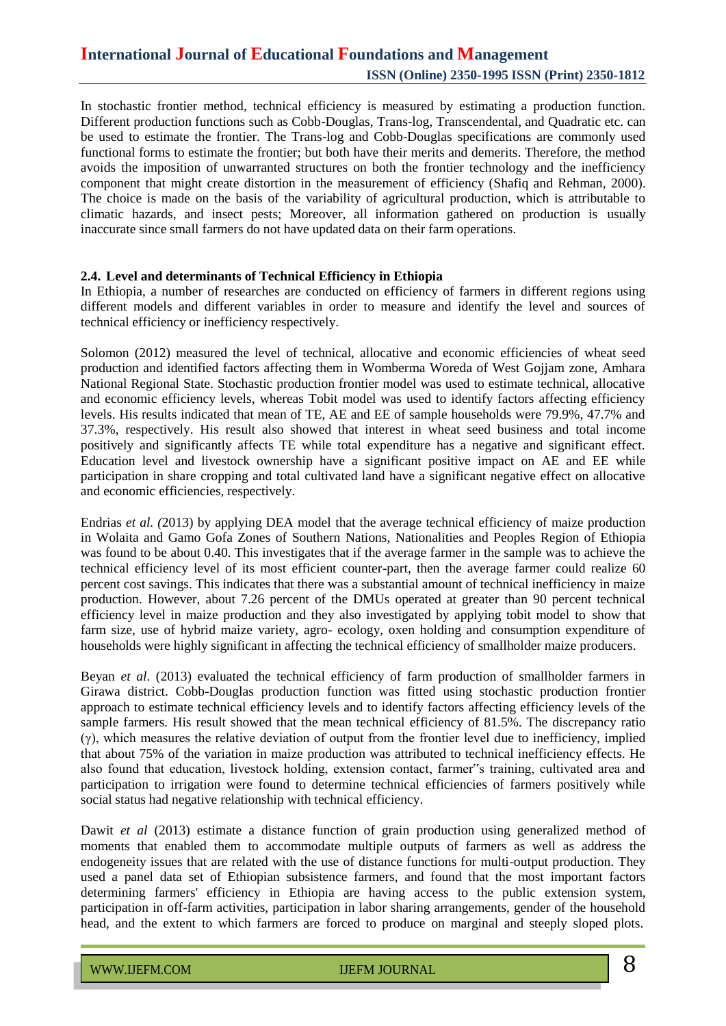In stochastic frontier method, technical efficiency is measured by estimating a production function. Different production functions such as Cobb-Douglas, Trans-log, Transcendental, and Quadratic etc. can be used to estimate the frontier. The Trans-log and Cobb-Douglas specifications are commonly used functional forms to estimate the frontier; but both have their merits and demerits. Therefore, the method avoids the imposition of unwarranted structures on both the frontier technology and the inefficiency component that might create distortion in the measurement of efficiency (Shafiq and Rehman, 2000). The choice is made on the basis of the variability of agricultural production, which is attributable to climatic hazards, and insect pests; Moreover, all information gathered on production is usually inaccurate since small farmers do not have updated data on their farm operations.

#### **2.4. Level and determinants of Technical Efficiency in Ethiopia**

In Ethiopia, a number of researches are conducted on efficiency of farmers in different regions using different models and different variables in order to measure and identify the level and sources of technical efficiency or inefficiency respectively.

Solomon (2012) measured the level of technical, allocative and economic efficiencies of wheat seed production and identified factors affecting them in Womberma Woreda of West Gojjam zone, Amhara National Regional State. Stochastic production frontier model was used to estimate technical, allocative and economic efficiency levels, whereas Tobit model was used to identify factors affecting efficiency levels. His results indicated that mean of TE, AE and EE of sample households were 79.9%, 47.7% and 37.3%, respectively. His result also showed that interest in wheat seed business and total income positively and significantly affects TE while total expenditure has a negative and significant effect. Education level and livestock ownership have a significant positive impact on AE and EE while participation in share cropping and total cultivated land have a significant negative effect on allocative and economic efficiencies, respectively.

Endrias *et al. (*2013) by applying DEA model that the average technical efficiency of maize production in Wolaita and Gamo Gofa Zones of Southern Nations, Nationalities and Peoples Region of Ethiopia was found to be about 0.40. This investigates that if the average farmer in the sample was to achieve the technical efficiency level of its most efficient counter-part, then the average farmer could realize 60 percent cost savings. This indicates that there was a substantial amount of technical inefficiency in maize production. However, about 7.26 percent of the DMUs operated at greater than 90 percent technical efficiency level in maize production and they also investigated by applying tobit model to show that farm size, use of hybrid maize variety, agro- ecology, oxen holding and consumption expenditure of households were highly significant in affecting the technical efficiency of smallholder maize producers.

Beyan *et al*. (2013) evaluated the technical efficiency of farm production of smallholder farmers in Girawa district. Cobb-Douglas production function was fitted using stochastic production frontier approach to estimate technical efficiency levels and to identify factors affecting efficiency levels of the sample farmers. His result showed that the mean technical efficiency of 81.5%. The discrepancy ratio  $(y)$ , which measures the relative deviation of output from the frontier level due to inefficiency, implied that about 75% of the variation in maize production was attributed to technical inefficiency effects. He also found that education, livestock holding, extension contact, farmer"s training, cultivated area and participation to irrigation were found to determine technical efficiencies of farmers positively while social status had negative relationship with technical efficiency.

Dawit *et al* (2013) estimate a distance function of grain production using generalized method of moments that enabled them to accommodate multiple outputs of farmers as well as address the endogeneity issues that are related with the use of distance functions for multi-output production. They used a panel data set of Ethiopian subsistence farmers, and found that the most important factors determining farmers' efficiency in Ethiopia are having access to the public extension system, participation in off-farm activities, participation in labor sharing arrangements, gender of the household head, and the extent to which farmers are forced to produce on marginal and steeply sloped plots.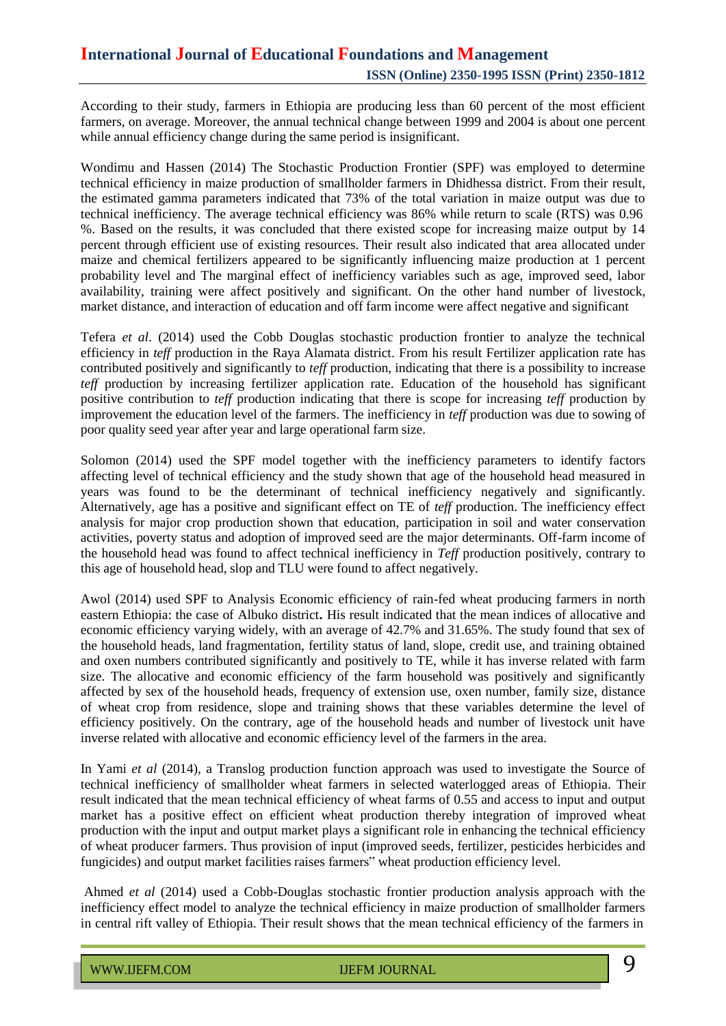According to their study, farmers in Ethiopia are producing less than 60 percent of the most efficient farmers, on average. Moreover, the annual technical change between 1999 and 2004 is about one percent while annual efficiency change during the same period is insignificant.

Wondimu and Hassen (2014) The Stochastic Production Frontier (SPF) was employed to determine technical efficiency in maize production of smallholder farmers in Dhidhessa district. From their result, the estimated gamma parameters indicated that 73% of the total variation in maize output was due to technical inefficiency. The average technical efficiency was 86% while return to scale (RTS) was 0.96 %. Based on the results, it was concluded that there existed scope for increasing maize output by 14 percent through efficient use of existing resources. Their result also indicated that area allocated under maize and chemical fertilizers appeared to be significantly influencing maize production at 1 percent probability level and The marginal effect of inefficiency variables such as age, improved seed, labor availability, training were affect positively and significant. On the other hand number of livestock, market distance, and interaction of education and off farm income were affect negative and significant

Tefera *et al*. (2014) used the Cobb Douglas stochastic production frontier to analyze the technical efficiency in *teff* production in the Raya Alamata district. From his result Fertilizer application rate has contributed positively and significantly to *teff* production, indicating that there is a possibility to increase *teff* production by increasing fertilizer application rate. Education of the household has significant positive contribution to *teff* production indicating that there is scope for increasing *teff* production by improvement the education level of the farmers. The inefficiency in *teff* production was due to sowing of poor quality seed year after year and large operational farm size.

Solomon (2014) used the SPF model together with the inefficiency parameters to identify factors affecting level of technical efficiency and the study shown that age of the household head measured in years was found to be the determinant of technical inefficiency negatively and significantly. Alternatively, age has a positive and significant effect on TE of *teff* production. The inefficiency effect analysis for major crop production shown that education, participation in soil and water conservation activities, poverty status and adoption of improved seed are the major determinants. Off-farm income of the household head was found to affect technical inefficiency in *Teff* production positively, contrary to this age of household head, slop and TLU were found to affect negatively.

Awol (2014) used SPF to Analysis Economic efficiency of rain-fed wheat producing farmers in north eastern Ethiopia: the case of Albuko district**.** His result indicated that the mean indices of allocative and economic efficiency varying widely, with an average of 42.7% and 31.65%. The study found that sex of the household heads, land fragmentation, fertility status of land, slope, credit use, and training obtained and oxen numbers contributed significantly and positively to TE, while it has inverse related with farm size. The allocative and economic efficiency of the farm household was positively and significantly affected by sex of the household heads, frequency of extension use, oxen number, family size, distance of wheat crop from residence, slope and training shows that these variables determine the level of efficiency positively. On the contrary, age of the household heads and number of livestock unit have inverse related with allocative and economic efficiency level of the farmers in the area.

In Yami *et al* (2014), a Translog production function approach was used to investigate the Source of technical inefficiency of smallholder wheat farmers in selected waterlogged areas of Ethiopia. Their result indicated that the mean technical efficiency of wheat farms of 0.55 and access to input and output market has a positive effect on efficient wheat production thereby integration of improved wheat production with the input and output market plays a significant role in enhancing the technical efficiency of wheat producer farmers. Thus provision of input (improved seeds, fertilizer, pesticides herbicides and fungicides) and output market facilities raises farmers" wheat production efficiency level.

Ahmed *et al* (2014) used a Cobb-Douglas stochastic frontier production analysis approach with the inefficiency effect model to analyze the technical efficiency in maize production of smallholder farmers in central rift valley of Ethiopia. Their result shows that the mean technical efficiency of the farmers in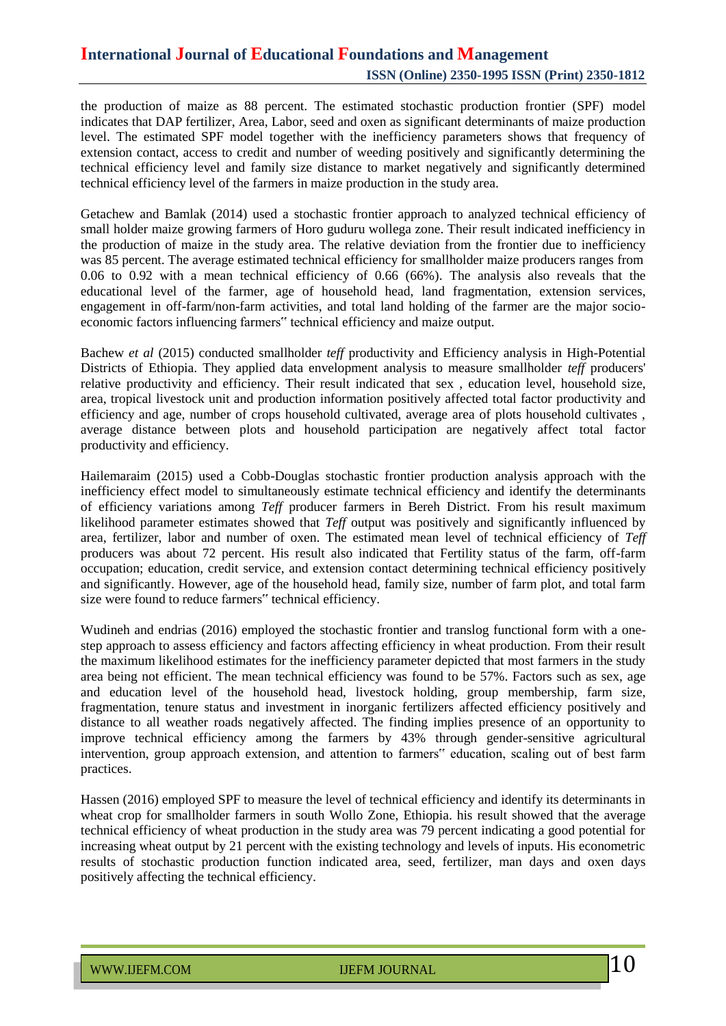the production of maize as 88 percent. The estimated stochastic production frontier (SPF) model indicates that DAP fertilizer, Area, Labor, seed and oxen as significant determinants of maize production level. The estimated SPF model together with the inefficiency parameters shows that frequency of extension contact, access to credit and number of weeding positively and significantly determining the technical efficiency level and family size distance to market negatively and significantly determined technical efficiency level of the farmers in maize production in the study area.

Getachew and Bamlak (2014) used a stochastic frontier approach to analyzed technical efficiency of small holder maize growing farmers of Horo guduru wollega zone. Their result indicated inefficiency in the production of maize in the study area. The relative deviation from the frontier due to inefficiency was 85 percent. The average estimated technical efficiency for smallholder maize producers ranges from 0.06 to 0.92 with a mean technical efficiency of 0.66 (66%). The analysis also reveals that the educational level of the farmer, age of household head, land fragmentation, extension services, engagement in off-farm/non-farm activities, and total land holding of the farmer are the major socioeconomic factors influencing farmers" technical efficiency and maize output.

Bachew *et al* (2015) conducted smallholder *teff* productivity and Efficiency analysis in High-Potential Districts of Ethiopia. They applied data envelopment analysis to measure smallholder *teff* producers' relative productivity and efficiency. Their result indicated that sex , education level, household size, area, tropical livestock unit and production information positively affected total factor productivity and efficiency and age, number of crops household cultivated, average area of plots household cultivates , average distance between plots and household participation are negatively affect total factor productivity and efficiency.

Hailemaraim (2015) used a Cobb-Douglas stochastic frontier production analysis approach with the inefficiency effect model to simultaneously estimate technical efficiency and identify the determinants of efficiency variations among *Teff* producer farmers in Bereh District. From his result maximum likelihood parameter estimates showed that *Teff* output was positively and significantly influenced by area, fertilizer, labor and number of oxen. The estimated mean level of technical efficiency of *Teff* producers was about 72 percent. His result also indicated that Fertility status of the farm, off-farm occupation; education, credit service, and extension contact determining technical efficiency positively and significantly. However, age of the household head, family size, number of farm plot, and total farm size were found to reduce farmers" technical efficiency.

Wudineh and endrias (2016) employed the stochastic frontier and translog functional form with a onestep approach to assess efficiency and factors affecting efficiency in wheat production. From their result the maximum likelihood estimates for the inefficiency parameter depicted that most farmers in the study area being not efficient. The mean technical efficiency was found to be 57%. Factors such as sex, age and education level of the household head, livestock holding, group membership, farm size, fragmentation, tenure status and investment in inorganic fertilizers affected efficiency positively and distance to all weather roads negatively affected. The finding implies presence of an opportunity to improve technical efficiency among the farmers by 43% through gender-sensitive agricultural intervention, group approach extension, and attention to farmers" education, scaling out of best farm practices.

Hassen (2016) employed SPF to measure the level of technical efficiency and identify its determinants in wheat crop for smallholder farmers in south Wollo Zone, Ethiopia. his result showed that the average technical efficiency of wheat production in the study area was 79 percent indicating a good potential for increasing wheat output by 21 percent with the existing technology and levels of inputs. His econometric results of stochastic production function indicated area, seed, fertilizer, man days and oxen days positively affecting the technical efficiency.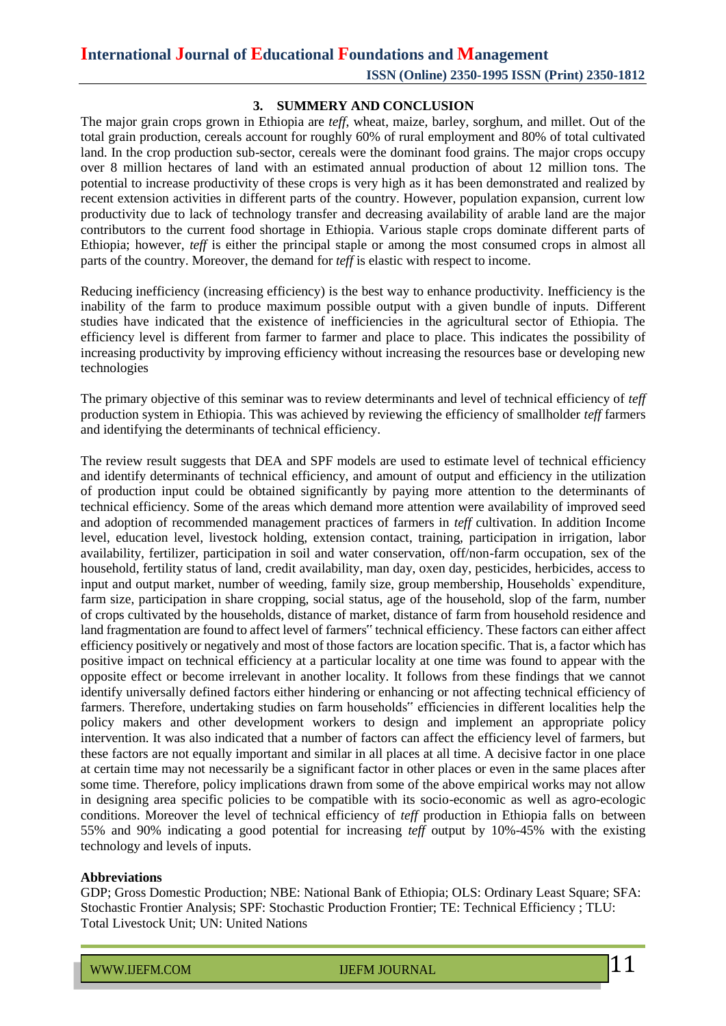# **International Journal of Educational Foundations and Management**

**ISSN (Online) 2350-1995 ISSN (Print) 2350-1812**

#### **3. SUMMERY AND CONCLUSION**

The major grain crops grown in Ethiopia are *teff*, wheat, maize, barley, sorghum, and millet. Out of the total grain production, cereals account for roughly 60% of rural employment and 80% of total cultivated land. In the crop production sub-sector, cereals were the dominant food grains. The major crops occupy over 8 million hectares of land with an estimated annual production of about 12 million tons. The potential to increase productivity of these crops is very high as it has been demonstrated and realized by recent extension activities in different parts of the country. However, population expansion, current low productivity due to lack of technology transfer and decreasing availability of arable land are the major contributors to the current food shortage in Ethiopia. Various staple crops dominate different parts of Ethiopia; however, *teff* is either the principal staple or among the most consumed crops in almost all parts of the country. Moreover, the demand for *teff* is elastic with respect to income.

Reducing inefficiency (increasing efficiency) is the best way to enhance productivity. Inefficiency is the inability of the farm to produce maximum possible output with a given bundle of inputs. Different studies have indicated that the existence of inefficiencies in the agricultural sector of Ethiopia. The efficiency level is different from farmer to farmer and place to place. This indicates the possibility of increasing productivity by improving efficiency without increasing the resources base or developing new technologies

The primary objective of this seminar was to review determinants and level of technical efficiency of *teff* production system in Ethiopia. This was achieved by reviewing the efficiency of smallholder *teff* farmers and identifying the determinants of technical efficiency.

The review result suggests that DEA and SPF models are used to estimate level of technical efficiency and identify determinants of technical efficiency, and amount of output and efficiency in the utilization of production input could be obtained significantly by paying more attention to the determinants of technical efficiency. Some of the areas which demand more attention were availability of improved seed and adoption of recommended management practices of farmers in *teff* cultivation. In addition Income level, education level, livestock holding, extension contact, training, participation in irrigation, labor availability, fertilizer, participation in soil and water conservation, off/non-farm occupation, sex of the household, fertility status of land, credit availability, man day, oxen day, pesticides, herbicides, access to input and output market, number of weeding, family size, group membership, Households` expenditure, farm size, participation in share cropping, social status, age of the household, slop of the farm, number of crops cultivated by the households, distance of market, distance of farm from household residence and land fragmentation are found to affect level of farmers" technical efficiency. These factors can either affect efficiency positively or negatively and most of those factors are location specific. That is, a factor which has positive impact on technical efficiency at a particular locality at one time was found to appear with the opposite effect or become irrelevant in another locality. It follows from these findings that we cannot identify universally defined factors either hindering or enhancing or not affecting technical efficiency of farmers. Therefore, undertaking studies on farm households" efficiencies in different localities help the policy makers and other development workers to design and implement an appropriate policy intervention. It was also indicated that a number of factors can affect the efficiency level of farmers, but these factors are not equally important and similar in all places at all time. A decisive factor in one place at certain time may not necessarily be a significant factor in other places or even in the same places after some time. Therefore, policy implications drawn from some of the above empirical works may not allow in designing area specific policies to be compatible with its socio-economic as well as agro-ecologic conditions. Moreover the level of technical efficiency of *teff* production in Ethiopia falls on between 55% and 90% indicating a good potential for increasing *teff* output by 10%-45% with the existing technology and levels of inputs.

#### **Abbreviations**

GDP; Gross Domestic Production; NBE: National Bank of Ethiopia; OLS: Ordinary Least Square; SFA: Stochastic Frontier Analysis; SPF: Stochastic Production Frontier; TE: Technical Efficiency ; TLU: Total Livestock Unit; UN: United Nations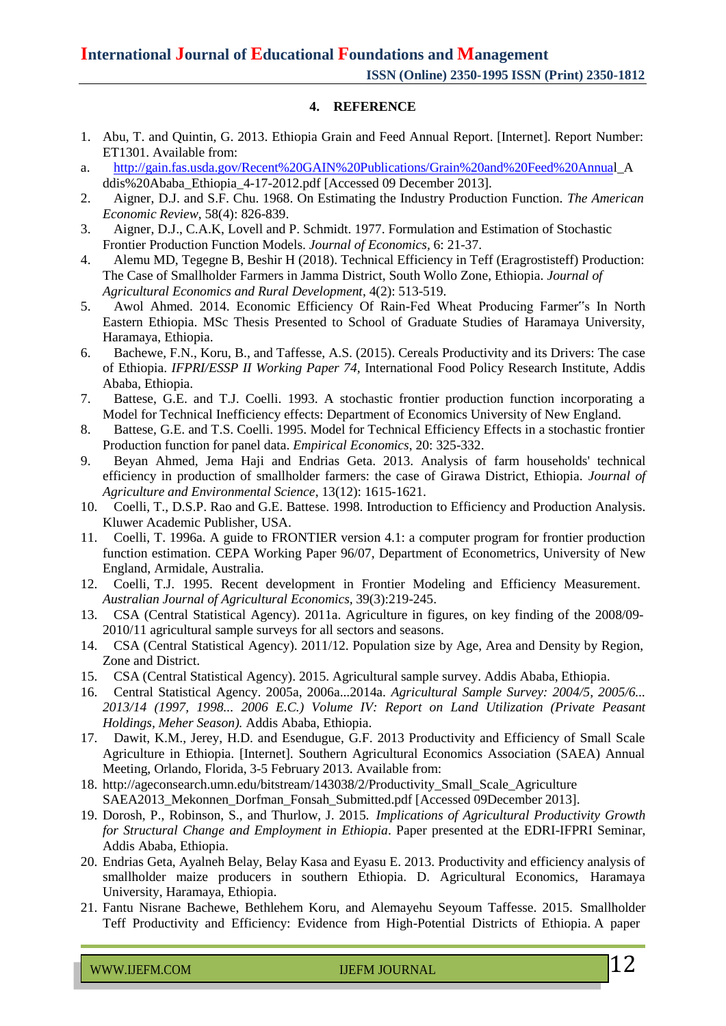#### **4. REFERENCE**

- 1. Abu, T. and Quintin, G. 2013. Ethiopia Grain and Feed Annual Report. [Internet]. Report Number: ET1301. Available from:
- a. [http://gain.fas.usda.gov/Recent%20GAIN%20Publications/Grain%20and%20Feed%20Annual](http://gain.fas.usda.gov/Recent%20GAIN%20Publications/Grain%20and%20Feed%20Annua)\_A ddis%20Ababa\_Ethiopia\_4-17-2012.pdf [Accessed 09 December 2013].
- 2. Aigner, D.J. and S.F. Chu. 1968. On Estimating the Industry Production Function. *The American Economic Review*, 58(4): 826-839.
- 3. Aigner, D.J., C.A.K, Lovell and P. Schmidt. 1977. Formulation and Estimation of Stochastic Frontier Production Function Models. *Journal of Economics,* 6: 21-37.
- 4. Alemu MD, Tegegne B, Beshir H (2018). Technical Efficiency in Teff (Eragrostisteff) Production: The Case of Smallholder Farmers in Jamma District, South Wollo Zone, Ethiopia. *Journal of Agricultural Economics and Rural Development*, 4(2): 513-519.
- 5. Awol Ahmed. 2014. Economic Efficiency Of Rain-Fed Wheat Producing Farmer"s In North Eastern Ethiopia. MSc Thesis Presented to School of Graduate Studies of Haramaya University, Haramaya, Ethiopia.
- 6. Bachewe, F.N., Koru, B., and Taffesse, A.S. (2015). Cereals Productivity and its Drivers: The case of Ethiopia. *IFPRI/ESSP II Working Paper 74,* International Food Policy Research Institute, Addis Ababa, Ethiopia.
- 7. Battese, G.E. and T.J. Coelli. 1993. A stochastic frontier production function incorporating a Model for Technical Inefficiency effects: Department of Economics University of New England.
- 8. Battese, G.E. and T.S. Coelli. 1995. Model for Technical Efficiency Effects in a stochastic frontier Production function for panel data. *Empirical Economics*, 20: 325-332.
- 9. Beyan Ahmed, Jema Haji and Endrias Geta. 2013. Analysis of farm households' technical efficiency in production of smallholder farmers: the case of Girawa District, Ethiopia. *Journal of Agriculture and Environmental Science*, 13(12): 1615-1621.
- 10. Coelli, T., D.S.P. Rao and G.E. Battese. 1998. Introduction to Efficiency and Production Analysis. Kluwer Academic Publisher, USA.
- 11. Coelli, T. 1996a. A guide to FRONTIER version 4.1: a computer program for frontier production function estimation. CEPA Working Paper 96/07, Department of Econometrics, University of New England, Armidale, Australia.
- 12. Coelli, T.J. 1995. Recent development in Frontier Modeling and Efficiency Measurement. *Australian Journal of Agricultural Economics,* 39(3):219-245.
- 13. CSA (Central Statistical Agency). 2011a. Agriculture in figures, on key finding of the 2008/09- 2010/11 agricultural sample surveys for all sectors and seasons.
- 14. CSA (Central Statistical Agency). 2011/12. Population size by Age, Area and Density by Region, Zone and District.
- 15. CSA (Central Statistical Agency). 2015. Agricultural sample survey. Addis Ababa, Ethiopia.
- 16. Central Statistical Agency. 2005a, 2006a...2014a. *Agricultural Sample Survey: 2004/5, 2005/6... 2013/14 (1997, 1998... 2006 E.C.) Volume IV: Report on Land Utilization (Private Peasant Holdings, Meher Season).* Addis Ababa, Ethiopia.
- 17. Dawit, K.M., Jerey, H.D. and Esendugue, G.F. 2013 Productivity and Efficiency of Small Scale Agriculture in Ethiopia. [Internet]. Southern Agricultural Economics Association (SAEA) Annual Meeting, Orlando, Florida, 3-5 February 2013. Available from:
- 18. [http://ageconsearch.umn.edu/bitstream/143038/2/Productivity\\_Small\\_Scale\\_Agriculture](http://ageconsearch.umn.edu/bitstream/143038/2/Productivity_Small_Scale_Agriculture) SAEA2013\_Mekonnen\_Dorfman\_Fonsah\_Submitted.pdf [Accessed 09December 2013].
- 19. Dorosh, P., Robinson, S., and Thurlow, J. 2015. *Implications of Agricultural Productivity Growth for Structural Change and Employment in Ethiopia*. Paper presented at the EDRI-IFPRI Seminar, Addis Ababa, Ethiopia.
- 20. Endrias Geta, Ayalneh Belay, Belay Kasa and Eyasu E. 2013. Productivity and efficiency analysis of smallholder maize producers in southern Ethiopia. D. Agricultural Economics, Haramaya University, Haramaya, Ethiopia.
- 21. Fantu Nisrane Bachewe, Bethlehem Koru, and Alemayehu Seyoum Taffesse. 2015. Smallholder Teff Productivity and Efficiency: Evidence from High-Potential Districts of Ethiopia. A paper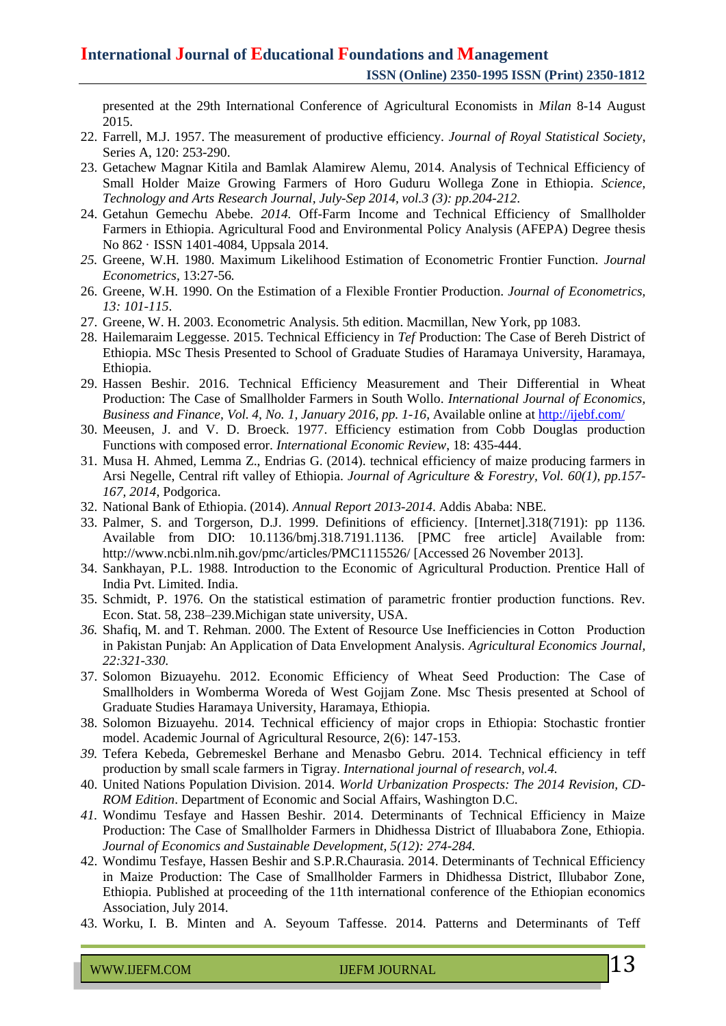presented at the 29th International Conference of Agricultural Economists in *Milan* 8-14 August 2015.

- 22. Farrell, M.J. 1957. The measurement of productive efficiency. *Journal of Royal Statistical Society*, Series A, 120: 253-290.
- 23. Getachew Magnar Kitila and Bamlak Alamirew Alemu, 2014. Analysis of Technical Efficiency of Small Holder Maize Growing Farmers of Horo Guduru Wollega Zone in Ethiopia. *Science, Technology and Arts Research Journal, July-Sep 2014, vol.3 (3): pp.204-212*.
- 24. Getahun Gemechu Abebe. *2014.* Off-Farm Income and Technical Efficiency of Smallholder Farmers in Ethiopia. Agricultural Food and Environmental Policy Analysis (AFEPA) Degree thesis No 862 · ISSN 1401-4084, Uppsala 2014.
- *25.* Greene, W.H. 1980. Maximum Likelihood Estimation of Econometric Frontier Function. *Journal Econometrics,* 13:27-56*.*
- 26. Greene, W.H. 1990. On the Estimation of a Flexible Frontier Production. *Journal of Econometrics, 13: 101-115*.
- 27. Greene, W. H. 2003. Econometric Analysis. 5th edition. Macmillan, New York, pp 1083.
- 28. Hailemaraim Leggesse. 2015. Technical Efficiency in *Tef* Production: The Case of Bereh District of Ethiopia. MSc Thesis Presented to School of Graduate Studies of Haramaya University, Haramaya, Ethiopia.
- 29. Hassen Beshir. 2016. Technical Efficiency Measurement and Their Differential in Wheat Production: The Case of Smallholder Farmers in South Wollo. *International Journal of Economics, Business and Finance, Vol. 4, No. 1, January 2016, pp. 1-16*, Available online at <http://ijebf.com/>
- 30. Meeusen, J. and V. D. Broeck. 1977. Efficiency estimation from Cobb Douglas production Functions with composed error. *International Economic Review*, 18: 435-444.
- 31. Musa H. Ahmed, Lemma Z., Endrias G. (2014). technical efficiency of maize producing farmers in Arsi Negelle, Central rift valley of Ethiopia. *Journal of Agriculture & Forestry, Vol. 60(1), pp.157- 167, 2014*, Podgorica.
- 32. National Bank of Ethiopia. (2014). *Annual Report 2013-2014*. Addis Ababa: NBE.
- 33. Palmer, S. and Torgerson, D.J. 1999. Definitions of efficiency. [Internet].318(7191): pp 1136. Available from DIO: 10.1136/bmj.318.7191.1136. [PMC free article] Available from: <http://www.ncbi.nlm.nih.gov/pmc/articles/PMC1115526/> [Accessed 26 November 2013].
- 34. Sankhayan, P.L. 1988. Introduction to the Economic of Agricultural Production. Prentice Hall of India Pvt. Limited. India.
- 35. Schmidt, P. 1976. On the statistical estimation of parametric frontier production functions. Rev. Econ. Stat. 58, 238–239.Michigan state university, USA.
- *36.* Shafiq, M. and T. Rehman. 2000. The Extent of Resource Use Inefficiencies in Cotton Production in Pakistan Punjab: An Application of Data Envelopment Analysis. *Agricultural Economics Journal, 22:321-330.*
- 37. Solomon Bizuayehu. 2012. Economic Efficiency of Wheat Seed Production: The Case of Smallholders in Womberma Woreda of West Gojjam Zone. Msc Thesis presented at School of Graduate Studies Haramaya University, Haramaya, Ethiopia.
- 38. Solomon Bizuayehu. 2014. Technical efficiency of major crops in Ethiopia: Stochastic frontier model. Academic Journal of Agricultural Resource, 2(6): 147-153.
- *39.* Tefera Kebeda, Gebremeskel Berhane and Menasbo Gebru. 2014. Technical efficiency in teff production by small scale farmers in Tigray. *International journal of research, vol.4.*
- 40. United Nations Population Division. 2014. *World Urbanization Prospects: The 2014 Revision, CD-ROM Edition*. Department of Economic and Social Affairs, Washington D.C.
- *41.* Wondimu Tesfaye and Hassen Beshir. 2014. Determinants of Technical Efficiency in Maize Production: The Case of Smallholder Farmers in Dhidhessa District of Illuababora Zone, Ethiopia. *Journal of Economics and Sustainable Development, 5(12): 274-284.*
- 42. Wondimu Tesfaye, Hassen Beshir and S.P.R.Chaurasia. 2014. Determinants of Technical Efficiency in Maize Production: The Case of Smallholder Farmers in Dhidhessa District, Illubabor Zone, Ethiopia. Published at proceeding of the 11th international conference of the Ethiopian economics Association, July 2014.
- 43. Worku, I. B. Minten and A. Seyoum Taffesse. 2014. Patterns and Determinants of Teff